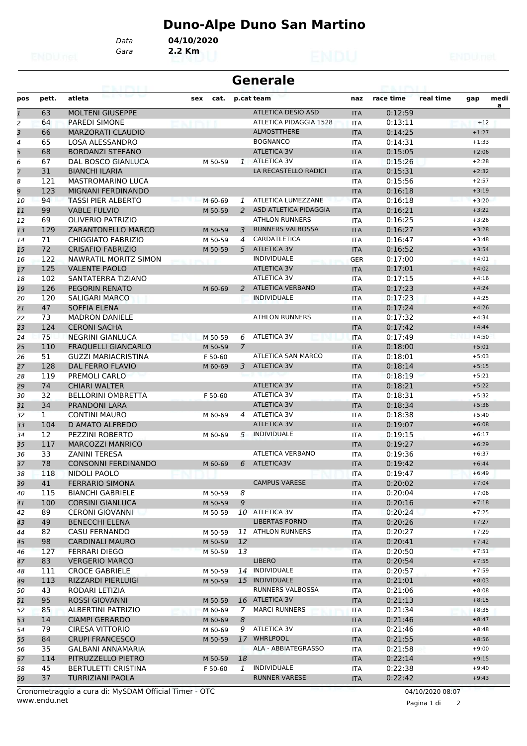## **Duno-Alpe Duno San Martino**

*Gara* **2.2 Km** *Data* **04/10/2020**

| <b>Generale</b><br>eairtí |              |                            |             |                |                           |            |           |           |         |           |  |
|---------------------------|--------------|----------------------------|-------------|----------------|---------------------------|------------|-----------|-----------|---------|-----------|--|
| pos                       | pett.        | atleta                     | cat.<br>sex |                | p.cat team                | naz        | race time | real time | gap     | medi<br>a |  |
| $\mathbf{1}$              | 63           | <b>MOLTENI GIUSEPPE</b>    |             |                | <b>ATLETICA DESIO ASD</b> | <b>ITA</b> | 0:12:59   |           |         |           |  |
| $\overline{2}$            | 64           | <b>PAREDI SIMONE</b>       |             |                | ATLETICA PIDAGGIA 1528    | <b>ITA</b> | 0:13:11   |           | $+12$   |           |  |
| 3                         | 66           | <b>MARZORATI CLAUDIO</b>   |             |                | <b>ALMOSTTHERE</b>        | <b>ITA</b> | 0:14:25   |           | $+1:27$ |           |  |
| 4                         | 65           | <b>LOSA ALESSANDRO</b>     |             |                | <b>BOGNANCO</b>           | <b>ITA</b> | 0:14:31   |           | $+1:33$ |           |  |
| 5                         | 68           | <b>BORDANZI STEFANO</b>    |             |                | <b>ATLETICA 3V</b>        | <b>ITA</b> | 0:15:05   |           | $+2:06$ |           |  |
| 6                         | 67           | <b>DAL BOSCO GIANLUCA</b>  | M 50-59     | $\mathbf{1}$   | <b>ATLETICA 3V</b>        | <b>ITA</b> | 0:15:26   |           | $+2:28$ |           |  |
| $\overline{z}$            | 31           | <b>BIANCHI ILARIA</b>      |             |                | LA RECASTELLO RADICI      | <b>ITA</b> | 0:15:31   |           | $+2:32$ |           |  |
| 8                         | 121          | <b>MASTROMARINO LUCA</b>   |             |                |                           | <b>ITA</b> | 0:15:56   |           | $+2:57$ |           |  |
| 9                         | 123          | MIGNANI FERDINANDO         |             |                |                           | <b>ITA</b> | 0:16:18   |           | $+3:19$ |           |  |
| 10                        | 94           | <b>TASSI PIER ALBERTO</b>  | M 60-69     | 1              | ATLETICA LUMEZZANE        | <b>ITA</b> | 0:16:18   |           | $+3:20$ |           |  |
| 11                        | 99           | <b>VABLE FULVIO</b>        | M 50-59     | 2              | ASD ATLETICA PIDAGGIA     | <b>ITA</b> | 0:16:21   |           | $+3:22$ |           |  |
| 12                        | 69           | <b>OLIVERIO PATRIZIO</b>   |             |                | <b>ATHLON RUNNERS</b>     | <b>ITA</b> | 0:16:25   |           | $+3:26$ |           |  |
| 13                        | 129          | <b>ZARANTONELLO MARCO</b>  | M 50-59     | 3              | <b>RUNNERS VALBOSSA</b>   | <b>ITA</b> | 0:16:27   |           | $+3:28$ |           |  |
| 14                        | 71           | <b>CHIGGIATO FABRIZIO</b>  | M 50-59     | 4              | CARDATLETICA              | <b>ITA</b> | 0:16:47   |           | $+3:48$ |           |  |
| 15                        | 72           | <b>CRISAFIO FABRIZIO</b>   | M 50-59     | 5              | <b>ATLETICA 3V</b>        | <b>ITA</b> | 0:16:52   |           | $+3:54$ |           |  |
| 16                        | 122          | NAWRATIL MORITZ SIMON      |             |                | <b>INDIVIDUALE</b>        | <b>GER</b> | 0:17:00   |           | $+4:01$ |           |  |
| 17                        | 125          | <b>VALENTE PAOLO</b>       |             |                | <b>ATLETICA 3V</b>        | <b>ITA</b> | 0:17:01   |           | $+4:02$ |           |  |
| 18                        | 102          | SANTATERRA TIZIANO         |             |                | <b>ATLETICA 3V</b>        | <b>ITA</b> | 0:17:15   |           | $+4:16$ |           |  |
| 19                        | 126          | <b>PEGORIN RENATO</b>      | M 60-69     | 2              | <b>ATLETICA VERBANO</b>   | <b>ITA</b> | 0:17:23   |           | $+4:24$ |           |  |
| 20                        | 120          | <b>SALIGARI MARCO</b>      |             |                | <b>INDIVIDUALE</b>        | ITA        | 0:17:23   |           | $+4:25$ |           |  |
| 21                        | 47           | <b>SOFFIA ELENA</b>        |             |                |                           | <b>ITA</b> | 0:17:24   |           | $+4:26$ |           |  |
| 22                        | 73           | <b>MADRON DANIELE</b>      |             |                | <b>ATHLON RUNNERS</b>     | <b>ITA</b> | 0:17:32   |           | $+4:34$ |           |  |
| 23                        | 124          | <b>CERONI SACHA</b>        |             |                |                           | <b>ITA</b> | 0:17:42   |           | $+4:44$ |           |  |
| 24                        | 75           | <b>NEGRINI GIANLUCA</b>    | M 50-59     | 6              | <b>ATLETICA 3V</b>        | <b>ITA</b> | 0:17:49   |           | $+4:50$ |           |  |
| 25                        | 110          | <b>FRAQUELLI GIANCARLO</b> | M 50-59     | $\overline{7}$ |                           | <b>ITA</b> | 0:18:00   |           | $+5:01$ |           |  |
| 26                        | 51           | <b>GUZZI MARIACRISTINA</b> | F 50-60     |                | ATLETICA SAN MARCO        | <b>ITA</b> | 0:18:01   |           | $+5:03$ |           |  |
| 27                        | 128          | <b>DAL FERRO FLAVIO</b>    | M 60-69     | 3              | <b>ATLETICA 3V</b>        | <b>ITA</b> | 0:18:14   |           | $+5:15$ |           |  |
| 28                        | 119          | PREMOLI CARLO              |             |                |                           | <b>ITA</b> | 0:18:19   |           | $+5:21$ |           |  |
| 29                        | 74           | <b>CHIARI WALTER</b>       |             |                | <b>ATLETICA 3V</b>        | <b>ITA</b> | 0:18:21   |           | $+5:22$ |           |  |
| 30                        | 32           | <b>BELLORINI OMBRETTA</b>  | F 50-60     |                | <b>ATLETICA 3V</b>        | <b>ITA</b> | 0:18:31   |           | $+5:32$ |           |  |
| 31                        | 34           | PRANDONI LARA              |             |                | <b>ATLETICA 3V</b>        | <b>ITA</b> | 0:18:34   |           | $+5:36$ |           |  |
| 32                        | $\mathbf{1}$ | <b>CONTINI MAURO</b>       | M 60-69     | 4              | ATLETICA 3V               | ITA        | 0:18:38   |           | $+5:40$ |           |  |
| 33                        | 104          | <b>D AMATO ALFREDO</b>     |             |                | <b>ATLETICA 3V</b>        | <b>ITA</b> | 0:19:07   |           | $+6:08$ |           |  |
| 34                        | 12           | PEZZINI ROBERTO            | M 60-69     | 5              | <b>INDIVIDUALE</b>        | <b>ITA</b> | 0:19:15   |           | $+6:17$ |           |  |
| 35                        | 117          | <b>MARCOZZI MANRICO</b>    |             |                |                           | <b>ITA</b> | 0:19:27   |           | $+6:29$ |           |  |
| 36                        | 33           | <b>ZANINI TERESA</b>       |             |                | <b>ATLETICA VERBANO</b>   | ITA        | 0:19:36   |           | $+6:37$ |           |  |
| 37                        | 78           | <b>CONSONNI FERDINANDO</b> | M 60-69     | 6              | ATLETICA3V                | <b>ITA</b> | 0:19:42   |           | $+6:44$ |           |  |
| 38                        | 118          | NIDOLI PAOLO               |             |                |                           | <b>ITA</b> | 0:19:47   |           | $+6:49$ |           |  |
| 39                        | 41           | <b>FERRARIO SIMONA</b>     |             |                | <b>CAMPUS VARESE</b>      | <b>ITA</b> | 0:20:02   |           | $+7:04$ |           |  |
| 40                        | 115          | <b>BIANCHI GABRIELE</b>    | M 50-59     | 8              |                           | ITA        | 0:20:04   |           | $+7:06$ |           |  |
| 41                        | 100          | <b>CORSINI GIANLUCA</b>    | M 50-59     | 9              |                           | <b>ITA</b> | 0:20:16   |           | $+7:18$ |           |  |
| 42                        | 89           | <b>CERONI GIOVANNI</b>     | M 50-59     |                | 10 ATLETICA 3V            | ITA        | 0:20:24   |           | $+7:25$ |           |  |
| 43                        | 49           | <b>BENECCHI ELENA</b>      |             |                | <b>LIBERTAS FORNO</b>     | <b>ITA</b> | 0:20:26   |           | $+7:27$ |           |  |
| 44                        | 82           | <b>CASU FERNANDO</b>       | M 50-59     |                | 11 ATHLON RUNNERS         | <b>ITA</b> | 0:20:27   |           | $+7:29$ |           |  |
| 45                        | 98           | <b>CARDINALI MAURO</b>     | M 50-59     | 12             |                           | <b>ITA</b> | 0:20:41   |           | $+7:42$ |           |  |
| 46                        | 127          | <b>FERRARI DIEGO</b>       | M 50-59     | 13             |                           | <b>ITA</b> | 0:20:50   |           | $+7:51$ |           |  |
| 47                        | 83           | <b>VERGERIO MARCO</b>      |             |                | <b>LIBERO</b>             | <b>ITA</b> | 0:20:54   |           | $+7:55$ |           |  |
| 48                        | 111          | <b>CROCE GABRIELE</b>      | M 50-59     |                | 14 INDIVIDUALE            | ITA        | 0:20:57   |           | $+7:59$ |           |  |
| 49                        | 113          | <b>RIZZARDI PIERLUIGI</b>  | M 50-59     |                | 15 INDIVIDUALE            | <b>ITA</b> | 0:21:01   |           | $+8:03$ |           |  |
| 50                        | 43           | RODARI LETIZIA             |             |                | RUNNERS VALBOSSA          | ITA        | 0:21:06   |           | $+8:08$ |           |  |
| 51                        | 95           | <b>ROSSI GIOVANNI</b>      | M 50-59     |                | 16 ATLETICA 3V            | <b>ITA</b> | 0:21:13   |           | $+8:15$ |           |  |
| 52                        | 85           | ALBERTINI PATRIZIO         | M 60-69     |                | 7 MARCI RUNNERS           | ITA        | 0:21:34   |           | $+8:35$ |           |  |
| 53                        | 14           | <b>CIAMPI GERARDO</b>      | M 60-69     | 8              |                           | <b>ITA</b> | 0:21:46   |           | $+8:47$ |           |  |
| 54                        | 79           | <b>CIRESA VITTORIO</b>     | M 60-69     | 9              | ATLETICA 3V               | ITA        | 0:21:46   |           | $+8:48$ |           |  |
| 55                        | 84           | <b>CRUPI FRANCESCO</b>     | M 50-59     |                | 17 WHRLPOOL               | <b>ITA</b> | 0:21:55   |           | $+8:56$ |           |  |
| 56                        | 35           | GALBANI ANNAMARIA          |             |                | ALA - ABBIATEGRASSO       | ITA        | 0:21:58   |           | $+9:00$ |           |  |
| 57                        | 114          | PITRUZZELLO PIETRO         | M 50-59     | 18             |                           | <b>ITA</b> | 0:22:14   |           | $+9:15$ |           |  |
| 58                        | 45           | <b>BERTULETTI CRISTINA</b> | F 50-60     | 1              | <b>INDIVIDUALE</b>        | ITA        | 0:22:38   |           | $+9:40$ |           |  |
| 59                        | 37           | <b>TURRIZIANI PAOLA</b>    |             |                | <b>RUNNER VARESE</b>      | <b>ITA</b> | 0:22:42   |           | $+9:43$ |           |  |

www.endu.net Cronometraggio a cura di: MySDAM Official Timer - OTC 04/10/2020 08:07

Pagina 1 di 2